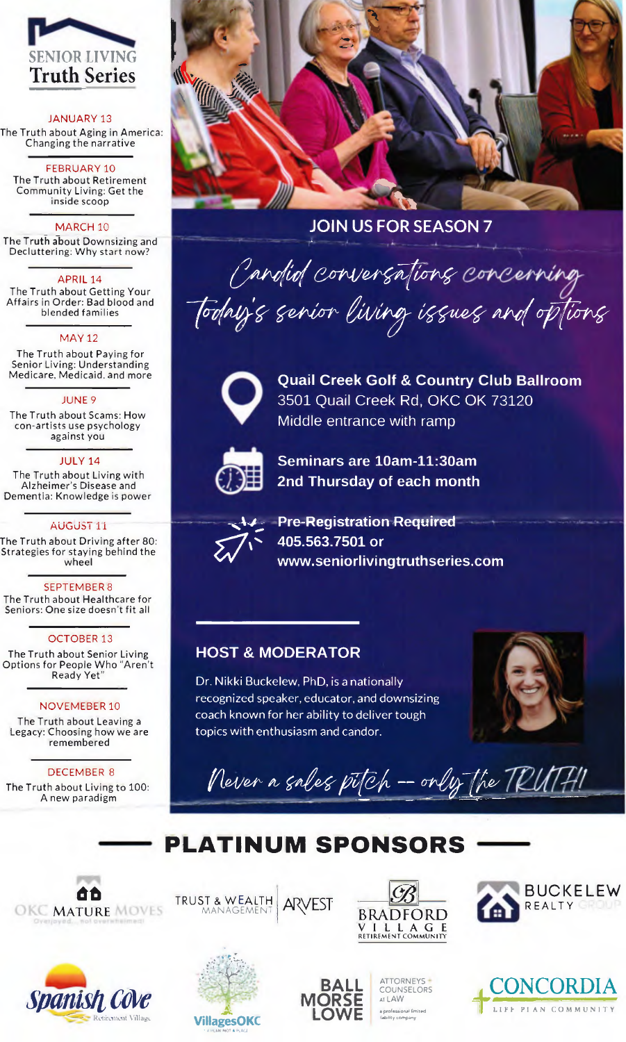

### **JANUARY 13**

The Truth about Aging in America: Changing the narrative

FEBRUARY 10 The Truth about Retirement Community Living: Get the inside scoop

### MARCH<sub>10</sub>

The Truth about Downsizing and Decluttering: Why start now?

### APRIL 14

The Truth about Getting Your Affairs in Order: Bad blood and blended families

**MAY 12** 

The Truth about Paying for Senior Living: Understanding Medicare, Medicaid, and more

#### JUNE 9

The Truth about Scams: How con-artists use psychology against you

#### **JULY 14**

The Truth about Living with Alzheimer's Disease and Dementia: Knowledge is power

### AUGUST 11

The Truth about Driving after 80: Strategies for staying behind the wheel

#### **SEPTEMBER 8**

The Truth about Healthcare for Seniors: One size doesn't fit all

### **OCTOBER 13**

The Truth about Senior Living<br>Options for People Who "Aren't Ready Yet<sup>"</sup>

### **NOVEMEBER 10**

The Truth about Leaving a Legacy: Choosing how we are remembered

### **DECEMBER 8**

The Truth about Living to 100: A new paradigm



### **JOIN US FOR SEASON 7**

Cardid conversations concerning Todny's serior living issues and options



**Quail Creek Golf & Country Club Ballroom** 3501 Quail Creek Rd, OKC OK 73120 Middle entrance with ramp



Seminars are 10am-11:30am 2nd Thursday of each month



**Pre-Registration Required** 405.563.7501 or www.seniorlivingtruthseries.com

### **HOST & MODERATOR**

Dr. Nikki Buckelew, PhD, is a nationally recognized speaker, educator, and downsizing coach known for her ability to deliver tough topics with enthusiasm and candor.



Never a sales pitch - only the TRUTH!

# PLATINUM SPONSORS

**ARVEST** 

**ORSE** 

LOWE







TRUST & WEALTH



ATTORNEYS -

COUNSELORS

AT LAW a professional fimited<br>(lability company



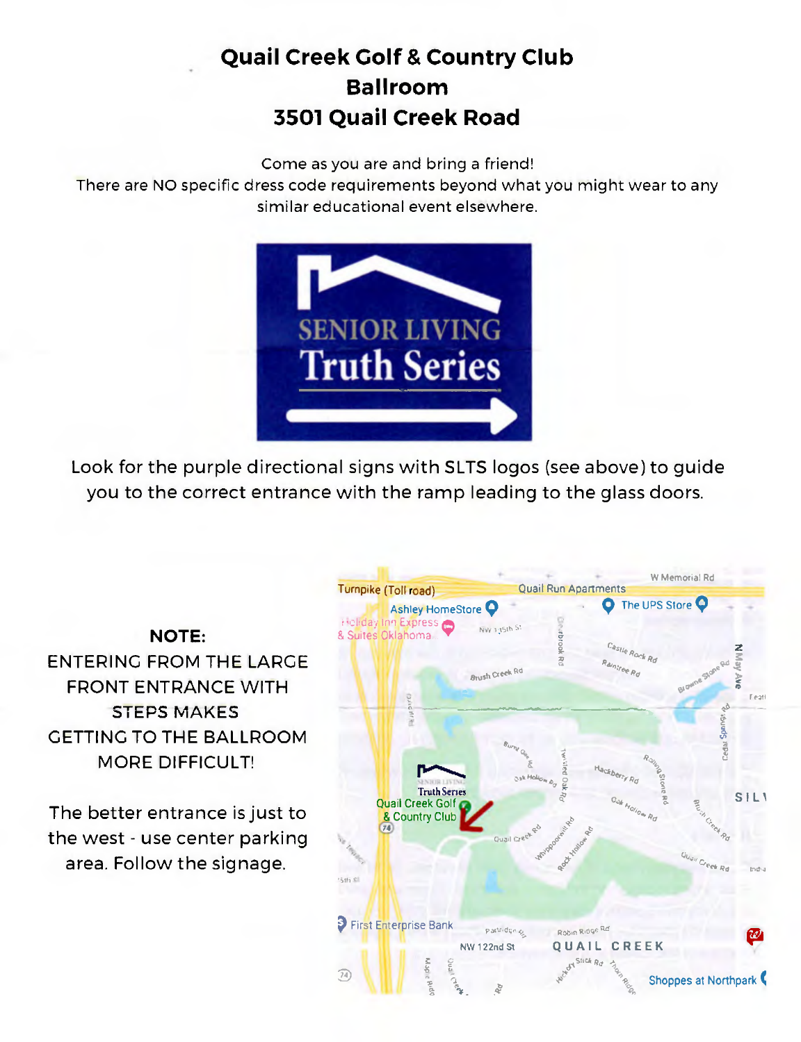# **Quail Creek Golf & Country Club Ballroom 3501 Quail Creek Road**

Come as you are and bring a friend!

There are NO specific dress code requirements beyond what you might wear to any similar educational event elsewhere.



Look for the purple directional signs with SILTS logos (see above) to guide you to the correct entrance with the ramp leading to the glass doors.

## NOTE: ENTERING FROM THE LARGE FRONT ENTRANCE WITH STEPS MAKES

GETTING TO THE BALLROOM MORE DIFFICULT!

The better entrance is just to the west - use center parking area. Follow the signage.